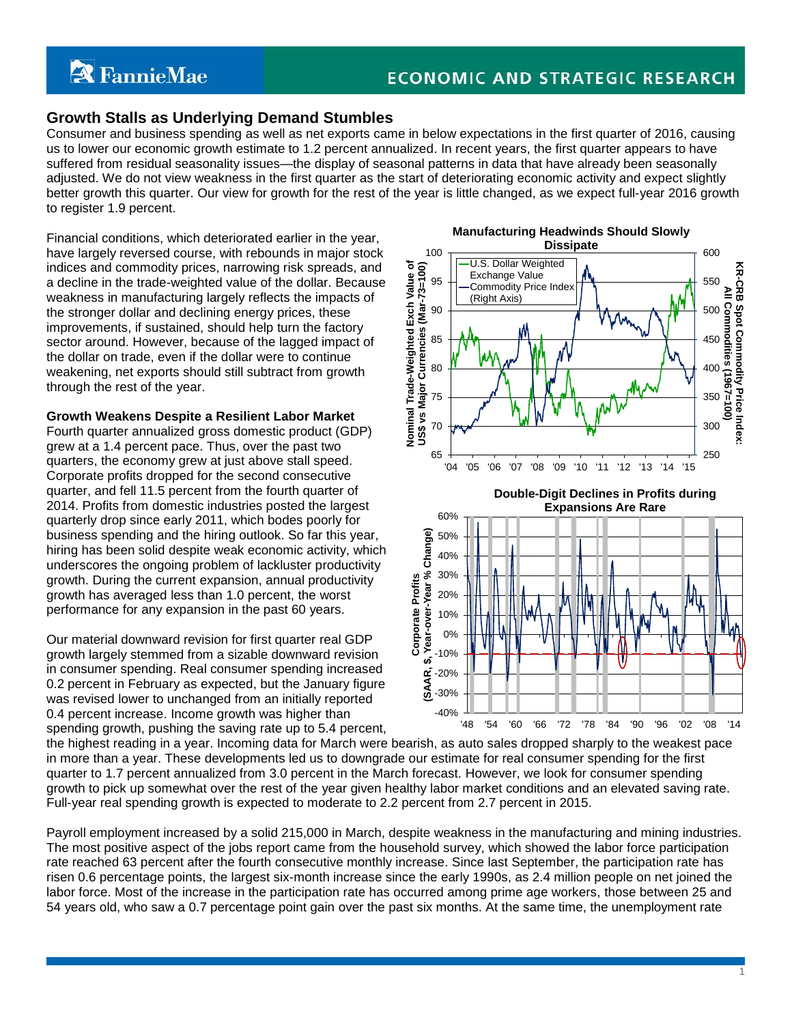# **Growth Stalls as Underlying Demand Stumbles**

Consumer and business spending as well as net exports came in below expectations in the first quarter of 2016, causing us to lower our economic growth estimate to 1.2 percent annualized. In recent years, the first quarter appears to have suffered from residual seasonality issues—the display of seasonal patterns in data that have already been seasonally adjusted. We do not view weakness in the first quarter as the start of deteriorating economic activity and expect slightly better growth this quarter. Our view for growth for the rest of the year is little changed, as we expect full-year 2016 growth to register 1.9 percent.

Financial conditions, which deteriorated earlier in the year, have largely reversed course, with rebounds in major stock indices and commodity prices, narrowing risk spreads, and a decline in the trade-weighted value of the dollar. Because weakness in manufacturing largely reflects the impacts of the stronger dollar and declining energy prices, these improvements, if sustained, should help turn the factory sector around. However, because of the lagged impact of the dollar on trade, even if the dollar were to continue weakening, net exports should still subtract from growth through the rest of the year.

#### **Growth Weakens Despite a Resilient Labor Market**

Fourth quarter annualized gross domestic product (GDP) grew at a 1.4 percent pace. Thus, over the past two quarters, the economy grew at just above stall speed. Corporate profits dropped for the second consecutive quarter, and fell 11.5 percent from the fourth quarter of 2014. Profits from domestic industries posted the largest quarterly drop since early 2011, which bodes poorly for business spending and the hiring outlook. So far this year, hiring has been solid despite weak economic activity, which underscores the ongoing problem of lackluster productivity growth. During the current expansion, annual productivity growth has averaged less than 1.0 percent, the worst performance for any expansion in the past 60 years.

Our material downward revision for first quarter real GDP growth largely stemmed from a sizable downward revision in consumer spending. Real consumer spending increased 0.2 percent in February as expected, but the January figure was revised lower to unchanged from an initially reported 0.4 percent increase. Income growth was higher than spending growth, pushing the saving rate up to 5.4 percent,



1

the highest reading in a year. Incoming data for March were bearish, as auto sales dropped sharply to the weakest pace in more than a year. These developments led us to downgrade our estimate for real consumer spending for the first quarter to 1.7 percent annualized from 3.0 percent in the March forecast. However, we look for consumer spending growth to pick up somewhat over the rest of the year given healthy labor market conditions and an elevated saving rate. Full-year real spending growth is expected to moderate to 2.2 percent from 2.7 percent in 2015.

Payroll employment increased by a solid 215,000 in March, despite weakness in the manufacturing and mining industries. The most positive aspect of the jobs report came from the household survey, which showed the labor force participation rate reached 63 percent after the fourth consecutive monthly increase. Since last September, the participation rate has risen 0.6 percentage points, the largest six-month increase since the early 1990s, as 2.4 million people on net joined the labor force. Most of the increase in the participation rate has occurred among prime age workers, those between 25 and 54 years old, who saw a 0.7 percentage point gain over the past six months. At the same time, the unemployment rate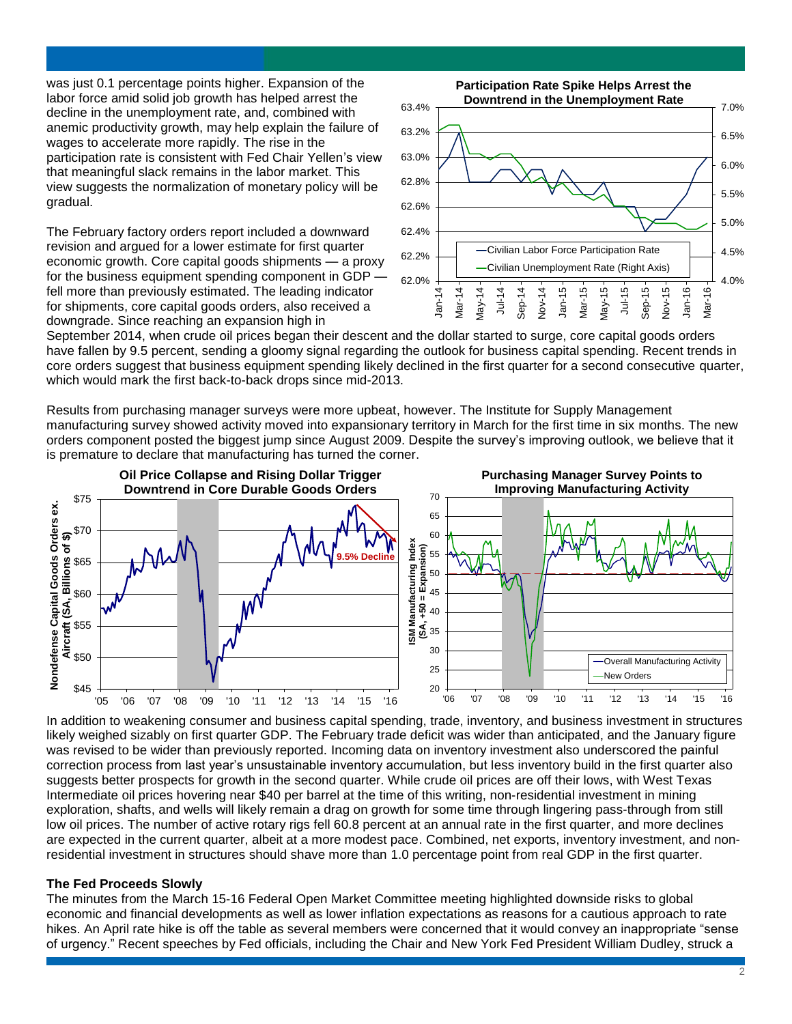was just 0.1 percentage points higher. Expansion of the labor force amid solid job growth has helped arrest the decline in the unemployment rate, and, combined with anemic productivity growth, may help explain the failure of wages to accelerate more rapidly. The rise in the participation rate is consistent with Fed Chair Yellen's view that meaningful slack remains in the labor market. This view suggests the normalization of monetary policy will be gradual.

The February factory orders report included a downward revision and argued for a lower estimate for first quarter economic growth. Core capital goods shipments — a proxy for the business equipment spending component in GDP  $\cdot$ fell more than previously estimated. The leading indicator for shipments, core capital goods orders, also received a downgrade. Since reaching an expansion high in



September 2014, when crude oil prices began their descent and the dollar started to surge, core capital goods orders have fallen by 9.5 percent, sending a gloomy signal regarding the outlook for business capital spending. Recent trends in core orders suggest that business equipment spending likely declined in the first quarter for a second consecutive quarter, which would mark the first back-to-back drops since mid-2013.

Results from purchasing manager surveys were more upbeat, however. The Institute for Supply Management manufacturing survey showed activity moved into expansionary territory in March for the first time in six months. The new orders component posted the biggest jump since August 2009. Despite the survey's improving outlook, we believe that it is premature to declare that manufacturing has turned the corner.



In addition to weakening consumer and business capital spending, trade, inventory, and business investment in structures likely weighed sizably on first quarter GDP. The February trade deficit was wider than anticipated, and the January figure was revised to be wider than previously reported. Incoming data on inventory investment also underscored the painful correction process from last year's unsustainable inventory accumulation, but less inventory build in the first quarter also suggests better prospects for growth in the second quarter. While crude oil prices are off their lows, with West Texas Intermediate oil prices hovering near \$40 per barrel at the time of this writing, non-residential investment in mining exploration, shafts, and wells will likely remain a drag on growth for some time through lingering pass-through from still low oil prices. The number of active rotary rigs fell 60.8 percent at an annual rate in the first quarter, and more declines are expected in the current quarter, albeit at a more modest pace. Combined, net exports, inventory investment, and nonresidential investment in structures should shave more than 1.0 percentage point from real GDP in the first quarter.

### **The Fed Proceeds Slowly**

The minutes from the March 15-16 Federal Open Market Committee meeting highlighted downside risks to global economic and financial developments as well as lower inflation expectations as reasons for a cautious approach to rate hikes. An April rate hike is off the table as several members were concerned that it would convey an inappropriate "sense of urgency." Recent speeches by Fed officials, including the Chair and New York Fed President William Dudley, struck a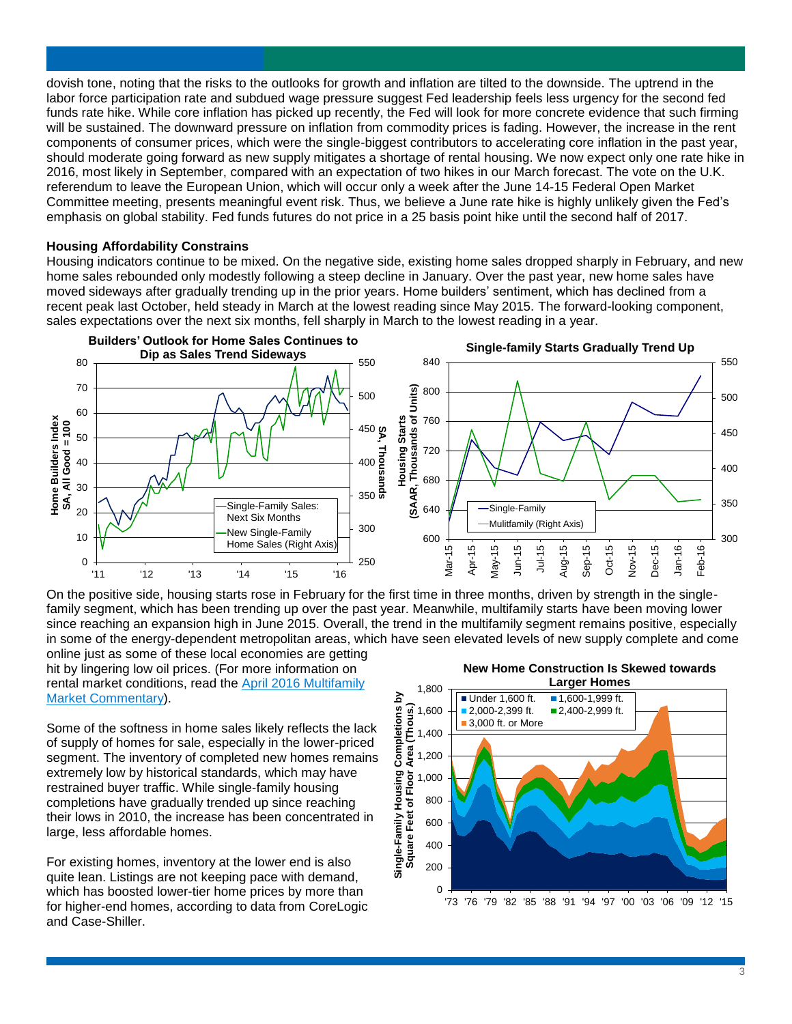dovish tone, noting that the risks to the outlooks for growth and inflation are tilted to the downside. The uptrend in the labor force participation rate and subdued wage pressure suggest Fed leadership feels less urgency for the second fed funds rate hike. While core inflation has picked up recently, the Fed will look for more concrete evidence that such firming will be sustained. The downward pressure on inflation from commodity prices is fading. However, the increase in the rent components of consumer prices, which were the single-biggest contributors to accelerating core inflation in the past year, should moderate going forward as new supply mitigates a shortage of rental housing. We now expect only one rate hike in 2016, most likely in September, compared with an expectation of two hikes in our March forecast. The vote on the U.K. referendum to leave the European Union, which will occur only a week after the June 14-15 Federal Open Market Committee meeting, presents meaningful event risk. Thus, we believe a June rate hike is highly unlikely given the Fed's emphasis on global stability. Fed funds futures do not price in a 25 basis point hike until the second half of 2017.

#### **Housing Affordability Constrains**

Housing indicators continue to be mixed. On the negative side, existing home sales dropped sharply in February, and new home sales rebounded only modestly following a steep decline in January. Over the past year, new home sales have moved sideways after gradually trending up in the prior years. Home builders' sentiment, which has declined from a recent peak last October, held steady in March at the lowest reading since May 2015. The forward-looking component, sales expectations over the next six months, fell sharply in March to the lowest reading in a year.



On the positive side, housing starts rose in February for the first time in three months, driven by strength in the singlefamily segment, which has been trending up over the past year. Meanwhile, multifamily starts have been moving lower since reaching an expansion high in June 2015. Overall, the trend in the multifamily segment remains positive, especially in some of the energy-dependent metropolitan areas, which have seen elevated levels of new supply complete and come

online just as some of these local economies are getting hit by lingering low oil prices. (For more information on rental market conditions, read the [April 2016 Multifamily](http://www.fanniemae.com/resources/file/research/emma/pdf/MF_Market_Commentary_041516.pdf)  [Market Commentary\)](http://www.fanniemae.com/resources/file/research/emma/pdf/MF_Market_Commentary_041516.pdf).

Some of the softness in home sales likely reflects the lack of supply of homes for sale, especially in the lower-priced segment. The inventory of completed new homes remains extremely low by historical standards, which may have restrained buyer traffic. While single-family housing completions have gradually trended up since reaching their lows in 2010, the increase has been concentrated in large, less affordable homes.

For existing homes, inventory at the lower end is also quite lean. Listings are not keeping pace with demand, which has boosted lower-tier home prices by more than for higher-end homes, according to data from CoreLogic and Case-Shiller.

**New Home Construction Is Skewed towards Larger Homes**